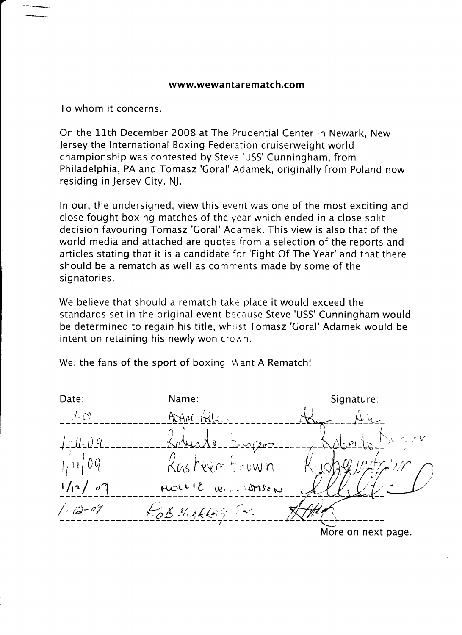To whom it concerns.

On the 11th December 2008 at The Prudential Center in Newark, New Jersey the lnternational Boxing Federation cruiserweight world championship was contested by Steve 'USS' Cunningham, from Philadelphia, PA and Tomasz 'Goral' Adamek, originally from Poland now residing in Jersey City, NJ.

ln our, the undersigned, viewthis event was one of the most exciting and close fought boxing matches of the year which ended in a close split decision favouring Tomasz'Coral'Adamek. This view is also that of the world media and attached are quotes from a selection of the reports and articles stating that it is a candidate for 'Fight Of The Year' and that there should be a rematch as well as comments made by some of the signatories.

We believe that should a rematch take place it would exceed the standards set in the original event because Steve 'USS' Cunningham would be determined to regain his title, whilst Tomasz 'Goral' Adamek would be intent on retaining his newly won crown.

We, the fans of the sport of boxing, Want A Rematch!

| Date:                                         | Name:             | Signature:         |
|-----------------------------------------------|-------------------|--------------------|
| $\mathbb{Z}/\mathbb{Z}$                       | ADAM Allen        |                    |
| $  -    $ . $ $ 9                             | Louiste Engen     | aberta Durer       |
| 1/11/09                                       | Kasheem Ecown     |                    |
| 1/n / 09                                      | MOLLIE WILLIAMSON |                    |
| $\frac{1}{2}$ - $\frac{1}{2}$ - $\frac{1}{2}$ | ROB Makkay Etc.   |                    |
|                                               |                   | More on next page. |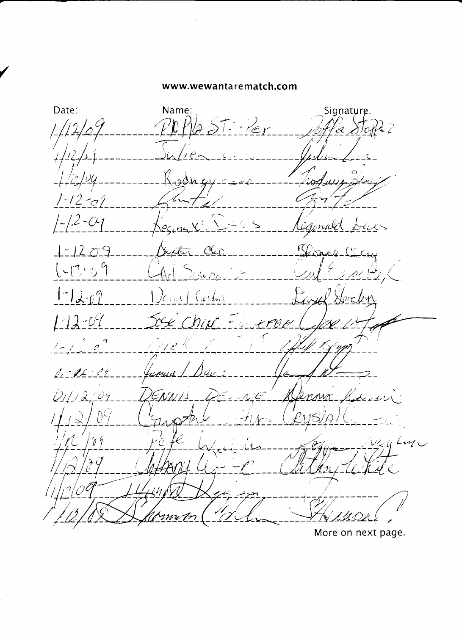Date: Name: Signature:  $257 - 121$  $\mathcal{L}Z$  $1 - 12 - 01$  $12 - C4$  $\sum_{i=1}^{n}$ Barnes CLEux  $1 - 1209$ ster\_CCc  $1 - 12.69$  $\times$ 46 $\sqrt{2}$  $1 - 12 - 07$  $\int_{C_{i}(t),t}\int_{t}\int_{t}^{t}$  $1 - 12 - 07$ Soe Chief Eugen V) *W*  $1 - 17.07$ îvre K anus / Dax  $A - B - C$ ENNIS PE-NI  $D1/12/04$  $\overline{u}$ رہ رہر ر  $^{\prime\prime}$ O 51  $w_{4}$ 4 Luz  $\hat{\mathcal{U}}$  $m\nu$  T

More on next page.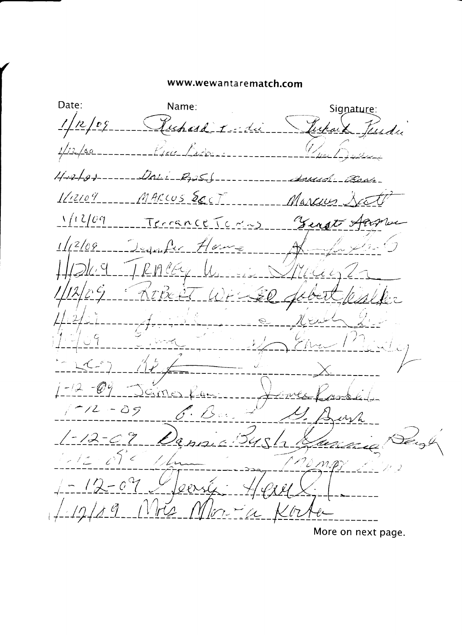Date: Name: Signature:  $1/2/09$ Juhard I du Jepaix Jessde  $1172799---20011-22259$  $1/12109$ <u> ---- MARCUS Soct</u> Marcus,  $\frac{1}{2}$  (12/09) errance Tomms Tengt Aam  $1/2/09$  $4nA$  House  $Rn$  eq.  $U_1$ Ũ  $-12 - 69$ äm  $\sim 10^{11}$  $1 - 12 - 39$  $\iota\iota\sqrt{\lambda}$  $1 - 12 - 07$  $54$  $q_{h1}$  $12.05c$  $\overline{\mathcal{L}}$  $-12-09$  $1/2/89$  $m = 4$ 

More on next page.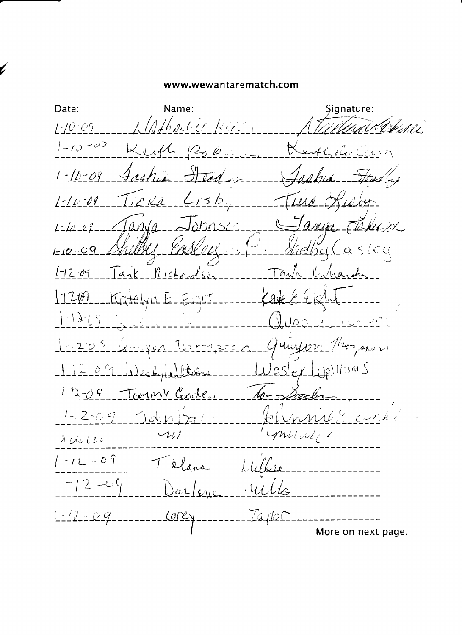Date: Name: Signature: hadeer Riv  $1 - 10 - 09$ ageni,  $\left(-10 - 0^{3}\right)$  $\sigma$   $\varnothing$  $1627$  $1 - 16 - 09$  $1 - 10 - 09$ 'S D  $A$   $\Omega$ i $\Omega$ ahn<  $\frac{1}{L}$   $\frac{1}{L}$   $\frac{1}{L}$  $\mathcal{U} \mathcal{M}$  .  $1 - 10 - 09$ 960 t Tank Richardson  $1 - 2 - 09$  $\sqrt{N}$  $^{\prime}$ la and نړ) غکړ  $700$  $1 - 13 - 07$  $U\cap C$  $-1205$  $\mathcal{L}$  $414 - 1$  $209$ Westyle Der estex <u>r Jelliam S</u> Tommy Goode.  $1 - 2 - 0$  $1 - 2 - 09$  $Ll$  curles  $\rightarrow$ dn  $\land$ l mund  $\omega_l$  $XULUL$  $1 - 12 - 09$ alana  $-12 -09$ rucles  $\alpha$ lene  $1 - 12 - 09$  $IayloC$ Corey More on next page.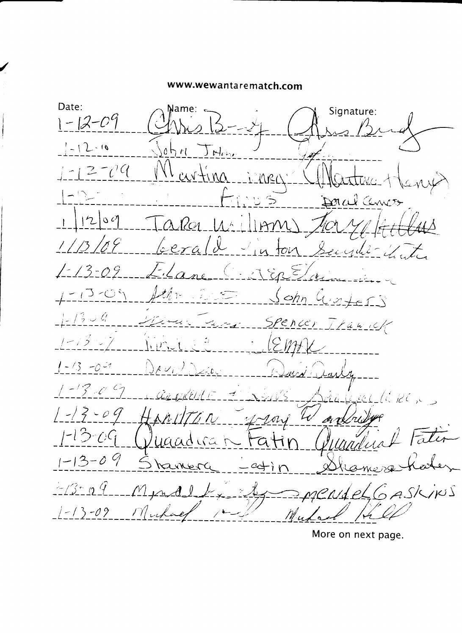Date: Mame: « Signature:  $1 - 12 - 09$  $-12 - 10$ 0 t  $\mathcal{M}$  $\sum_{k\in\mathbb{Z}}$  $-12 - 09$  $cov + mc$ Mec Donal Cennes  $\hat{\mathbb{Z}}$  $1200$  $\alpha$ la  $||m$  $\left| A \right|$ 'e era  $\mathcal{F}_{\lambda}$  $t\infty$  $222010$  $\mathcal{J}_{\epsilon}$ Enstri  $1 - 13 - 09$  $\alpha$  no  $-13 - 04$  $\sqrt{2}$  $\gamma \circ$  $S$  chn  $C$ E S S  $\pm\frac{1}{2}$  3 0 9 Spencer Iranick  $1 - 13 - 7$ EMIK  $1 - 13 - 0 = 7$  $AV_{ij}$  $1 - 13 - 0.5$ Llaker RIKELLE E  $\mathcal{A}$  $\left\{\frac{-1}{2} - 9\right\}$  $\mathcal{L}_{\bm{\mathcal{U}}}$ しゅだん <u>4 1 orj</u> er re  $1 - 13 - 09$ at raadirat  $1 - 13 - 09$ arrer كمنط  $\Gamma$  $\pm 13$  al Mundel  $N4eL6$ ASKINS  $1 - 13 - 09$ Muchae

More on next page.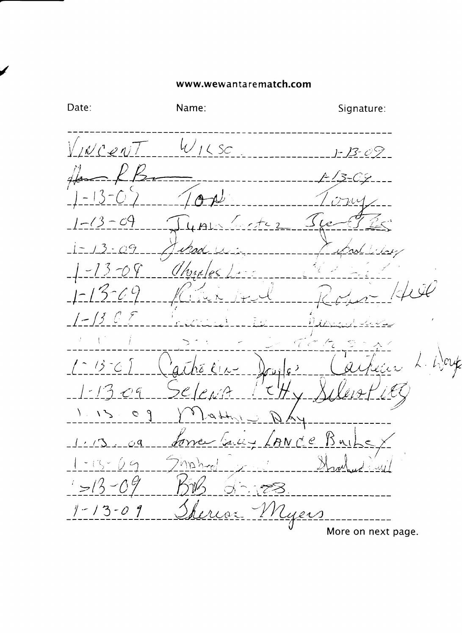Date: Name: Signature:  $W_{12SC}$ <u>V incen</u> 09- $-09$  $\check{\zeta}$  $-09$  $-13 -09$ Uhmles  $\hat{\phantom{1}}$  $\zeta$ ۰,  $\mathcal{S}_{\mathcal{C}}$  $\left\langle \cdot \right\rangle$  $\hat{\phantom{1}}$  $1 - 1 - 3$ 9 C | P  $799$  $\sqrt{2}$  $\overline{C}$ 'ANC'E torre  $\overline{\mathcal{L}}$ l- $2\eta \Delta h$  $-15$  $\bigcap$  G  $>1/3$ t T  $1 - 13 - 09$ yer More on next page.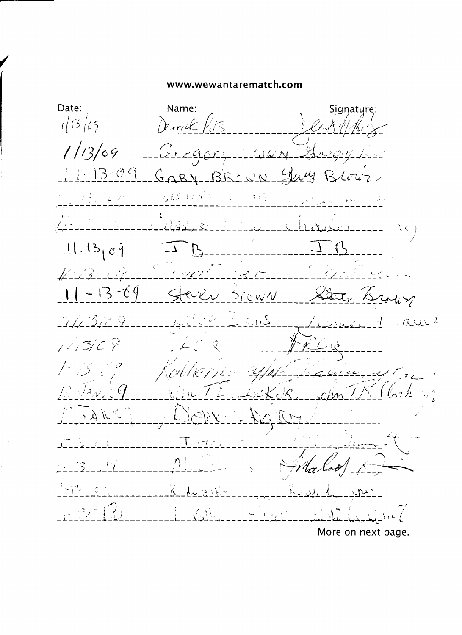Date: Name:Signature:  $1/3/25$ Dewick  $1/3/69$  $G$ regory. 10414.  $3 - 09$  $GABY-BEZWQ$ 可最 しゃくこ  $\{\beta_{\rm{obs}}\}$  $\{ \hat{r} \}$  $\mathcal{E}^{\mathbb{C}^n \times \mathbb{C}^n}$  $\mathcal{L}(\mathbb{C} \times \mathbb{C} \times \mathbb{C} \times \mathbb{C} \times \mathcal{Q})$  $\mathcal{L}/\mathcal{A}$ さんです。  $2c$  $11.1369$  $\sqrt[4]{5}$ Commentary E  $4.13 - 09$  $-13 - 69$  $5$ rew $\nu$ It /s  $20.52$  $\mathcal{L}_{\mathscr{C}}$ 434  $\epsilon \in \mathbb{R}^d$  $-CULL<sup>2</sup>$  $\angle$  ,  $\in$  $\mathcal{L} \mathcal{L}$ .  $3/C$   $9$ Committed before in allen, y (m)  $\mathcal{T}^{\mathrm{lc}}$ Ja $\nu$ , 0 $q$  $\sim$  1  $\ell$ <sub>2</sub>  $h$  $4.7711$  $r/m$ U Á ドローズド  $(77.7) \times 10^{-7}$  $\frac{1}{2} \sum_{i=1}^{n} \frac{1}{i} \sum_{i=1}^{n} \frac{1}{i} \sum_{j=1}^{n} \frac{1}{j} \sum_{j=1}^{n} \frac{1}{j} \sum_{j=1}^{n} \frac{1}{j} \sum_{j=1}^{n} \frac{1}{j} \sum_{j=1}^{n} \frac{1}{j} \sum_{j=1}^{n} \frac{1}{j} \sum_{j=1}^{n} \frac{1}{j} \sum_{j=1}^{n} \frac{1}{j} \sum_{j=1}^{n} \frac{1}{j} \sum_{j=1}^{n} \frac{1}{j} \sum_{j=1}^{n$  $\Delta S$  $\sim$  1  $_{\odot}$ More on next page.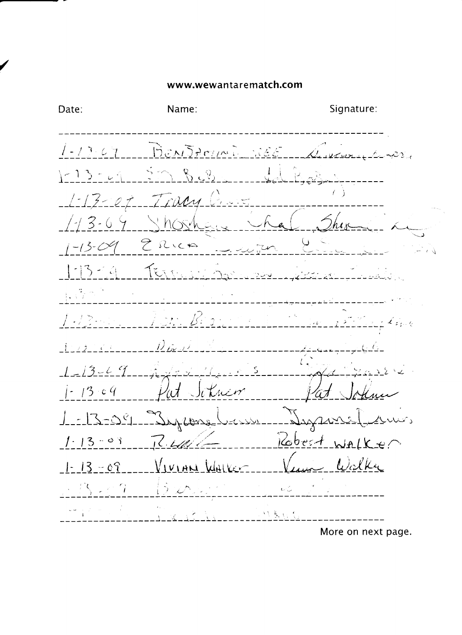Signature: Date: Name: BENJAMIN 1886  $1 - 13.67$  $\mathcal{Z}\mathcal{Y}_{\mathcal{A}}$  $R_{2}$ ت ب  $(-15$ et Trum C  $\angle$  - 1.3 -/ 3-6  $2$  Rick 下  $\tilde{\mathcal{K}}(\tilde{\mathcal{K}})$ 년 G  $\int J/\bar{J}$  $\left\langle \cdot\right\rangle$  $\mathcal{L}[\varphi]_{\mathcal{G}\sim\mathcal{M}}$  $-13 - 47$  $-13.04$ it Situan - Jague  $-2-29$ وأضلك Juptone-\_\_<u>\_بالألائ</u>\_ <u>Zobect</u> WALKER  $1.13 - 03$  $1<\frac{1}{2}$ Walker <u>VIVIAN WALKER</u>  $1 - 13 - 07$  $13 \times 9$  $\mathcal{Y}$  $\mathbf{t} \in \bigcup_{i=1}^N$  $\mathcal{L}$  $M, \xi, \xi$ More on next page.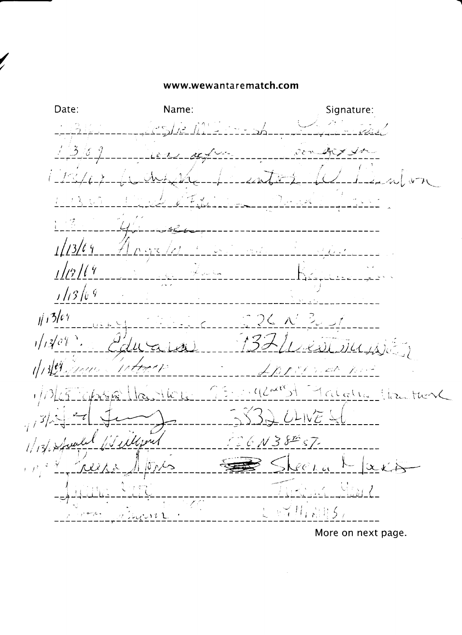/

Date: Name: Signature: <u>369</u>  $\hat{\mathcal{C}}$  or  $\sim$  $t\!-\!2$ Ţ,  $1/13/6$  $1/2/14$  $1/13/69$  $11364$  $326x'$ رميس  $1/13$   $e^{\gamma}$  $\sqrt{}$ of George  $4\pi$ 12  $1/7$  $\mathcal{L}_{\mathcal{A}}$ الممتشف با プライー Adaha Hacther  $\{C^{\mu\nu}(\mathcal{L})\}$  $\pm$  / let fit ellipses  $6N38557$  $1/1364$ skeena  $|\hat{U}_P|$  $\vdash$ <u>Luki</u>  $\cup$   $\cup_{i,k}$   $\in$  $\sqrt{2}$ ्ट्रस् **Williams**  $\sim$  12 L

More on next page.

-'t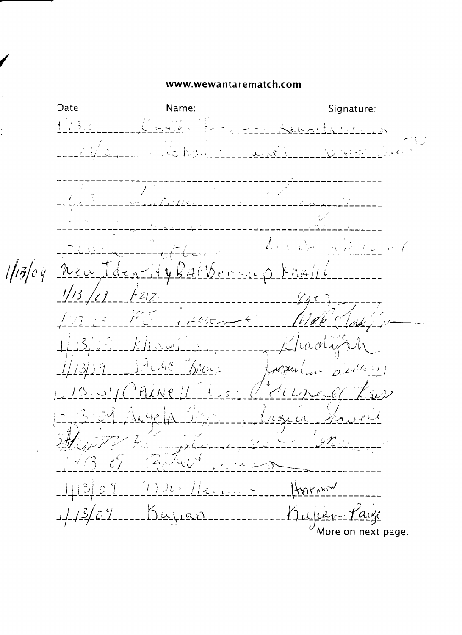Date: Name: Signature:  $1/3.4$ حفيد  $H_{\rm eff}$  , the same Ÿ  $f: A \rightarrow \mathbb{R}^3 \backslash \mathbb{R}^3$  $\mathcal{H}(\mathcal{A})$  $\sim$  $\pm$  0  $1/13/04$  $200$  $18450255$  $K$  hal ن<br>ن بيأ  $Hz_1z_2$  $\mathcal{N}(\zeta)$ *Brown* al Hri  $17$  $\frac{1}{2}$  $\ddot{f}$  $\mathcal{Z}$  .  $\frac{1}{\sqrt{1-\frac{1}{2}}}\log$  $0<sup>7</sup>$ Herry  $2222$  $\mathbb{L}^{\times}$   $\cong$  $22$ ----Bujian Bujuer  $\frac{3}{2}$ More on next page.